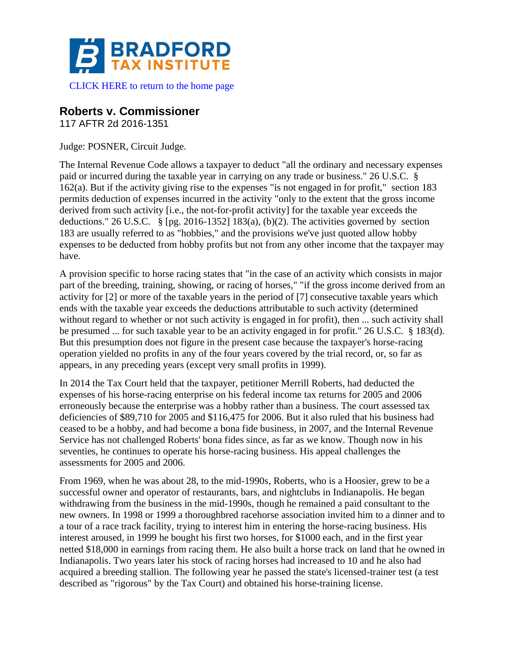

## **Roberts v. Commissioner**

117 AFTR 2d 2016-1351

Judge: POSNER, Circuit Judge.

The Internal Revenue Code allows a taxpayer to deduct "all the ordinary and necessary expenses paid or incurred during the taxable year in carrying on any trade or business." 26 U.S.C. § 162(a). But if the activity giving rise to the expenses "is not engaged in for profit," section 183 permits deduction of expenses incurred in the activity "only to the extent that the gross income derived from such activity [i.e., the not-for-profit activity] for the taxable year exceeds the deductions." 26 U.S.C. § [pg. 2016-1352] 183(a), (b)(2). The activities governed by section 183 are usually referred to as "hobbies," and the provisions we've just quoted allow hobby expenses to be deducted from hobby profits but not from any other income that the taxpayer may have.

A provision specific to horse racing states that "in the case of an activity which consists in major part of the breeding, training, showing, or racing of horses," "if the gross income derived from an activity for [2] or more of the taxable years in the period of [7] consecutive taxable years which ends with the taxable year exceeds the deductions attributable to such activity (determined without regard to whether or not such activity is engaged in for profit), then ... such activity shall be presumed ... for such taxable year to be an activity engaged in for profit." 26 U.S.C. § 183(d). But this presumption does not figure in the present case because the taxpayer's horse-racing operation yielded no profits in any of the four years covered by the trial record, or, so far as appears, in any preceding years (except very small profits in 1999).

In 2014 the Tax Court held that the taxpayer, petitioner Merrill Roberts, had deducted the expenses of his horse-racing enterprise on his federal income tax returns for 2005 and 2006 erroneously because the enterprise was a hobby rather than a business. The court assessed tax deficiencies of \$89,710 for 2005 and \$116,475 for 2006. But it also ruled that his business had ceased to be a hobby, and had become a bona fide business, in 2007, and the Internal Revenue Service has not challenged Roberts' bona fides since, as far as we know. Though now in his seventies, he continues to operate his horse-racing business. His appeal challenges the assessments for 2005 and 2006.

From 1969, when he was about 28, to the mid-1990s, Roberts, who is a Hoosier, grew to be a successful owner and operator of restaurants, bars, and nightclubs in Indianapolis. He began withdrawing from the business in the mid-1990s, though he remained a paid consultant to the new owners. In 1998 or 1999 a thoroughbred racehorse association invited him to a dinner and to a tour of a race track facility, trying to interest him in entering the horse-racing business. His interest aroused, in 1999 he bought his first two horses, for \$1000 each, and in the first year netted \$18,000 in earnings from racing them. He also built a horse track on land that he owned in Indianapolis. Two years later his stock of racing horses had increased to 10 and he also had acquired a breeding stallion. The following year he passed the state's licensed-trainer test (a test described as "rigorous" by the Tax Court) and obtained his horse-training license.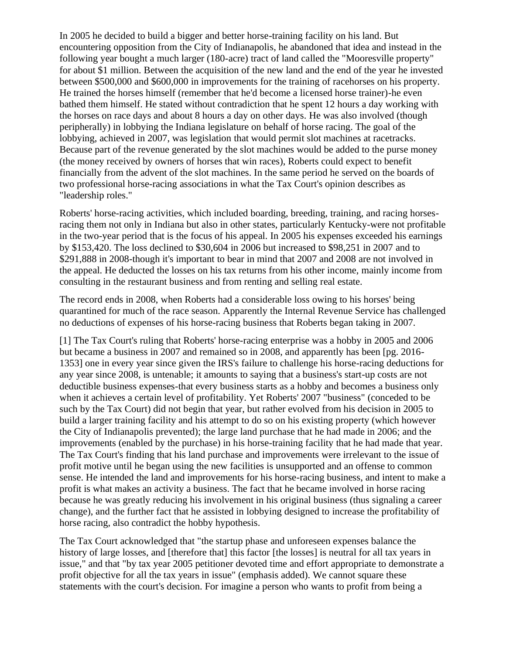In 2005 he decided to build a bigger and better horse-training facility on his land. But encountering opposition from the City of Indianapolis, he abandoned that idea and instead in the following year bought a much larger (180-acre) tract of land called the "Mooresville property" for about \$1 million. Between the acquisition of the new land and the end of the year he invested between \$500,000 and \$600,000 in improvements for the training of racehorses on his property. He trained the horses himself (remember that he'd become a licensed horse trainer)-he even bathed them himself. He stated without contradiction that he spent 12 hours a day working with the horses on race days and about 8 hours a day on other days. He was also involved (though peripherally) in lobbying the Indiana legislature on behalf of horse racing. The goal of the lobbying, achieved in 2007, was legislation that would permit slot machines at racetracks. Because part of the revenue generated by the slot machines would be added to the purse money (the money received by owners of horses that win races), Roberts could expect to benefit financially from the advent of the slot machines. In the same period he served on the boards of two professional horse-racing associations in what the Tax Court's opinion describes as "leadership roles."

Roberts' horse-racing activities, which included boarding, breeding, training, and racing horsesracing them not only in Indiana but also in other states, particularly Kentucky-were not profitable in the two-year period that is the focus of his appeal. In 2005 his expenses exceeded his earnings by \$153,420. The loss declined to \$30,604 in 2006 but increased to \$98,251 in 2007 and to \$291,888 in 2008-though it's important to bear in mind that 2007 and 2008 are not involved in the appeal. He deducted the losses on his tax returns from his other income, mainly income from consulting in the restaurant business and from renting and selling real estate.

The record ends in 2008, when Roberts had a considerable loss owing to his horses' being quarantined for much of the race season. Apparently the Internal Revenue Service has challenged no deductions of expenses of his horse-racing business that Roberts began taking in 2007.

[1] The Tax Court's ruling that Roberts' horse-racing enterprise was a hobby in 2005 and 2006 but became a business in 2007 and remained so in 2008, and apparently has been [pg. 2016- 1353] one in every year since given the IRS's failure to challenge his horse-racing deductions for any year since 2008, is untenable; it amounts to saying that a business's start-up costs are not deductible business expenses-that every business starts as a hobby and becomes a business only when it achieves a certain level of profitability. Yet Roberts' 2007 "business" (conceded to be such by the Tax Court) did not begin that year, but rather evolved from his decision in 2005 to build a larger training facility and his attempt to do so on his existing property (which however the City of Indianapolis prevented); the large land purchase that he had made in 2006; and the improvements (enabled by the purchase) in his horse-training facility that he had made that year. The Tax Court's finding that his land purchase and improvements were irrelevant to the issue of profit motive until he began using the new facilities is unsupported and an offense to common sense. He intended the land and improvements for his horse-racing business, and intent to make a profit is what makes an activity a business. The fact that he became involved in horse racing because he was greatly reducing his involvement in his original business (thus signaling a career change), and the further fact that he assisted in lobbying designed to increase the profitability of horse racing, also contradict the hobby hypothesis.

The Tax Court acknowledged that "the startup phase and unforeseen expenses balance the history of large losses, and [therefore that] this factor [the losses] is neutral for all tax years in issue," and that "by tax year 2005 petitioner devoted time and effort appropriate to demonstrate a profit objective for all the tax years in issue" (emphasis added). We cannot square these statements with the court's decision. For imagine a person who wants to profit from being a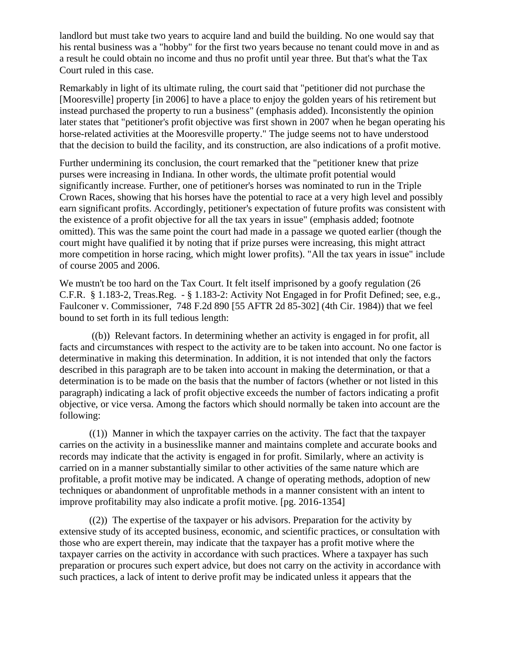landlord but must take two years to acquire land and build the building. No one would say that his rental business was a "hobby" for the first two years because no tenant could move in and as a result he could obtain no income and thus no profit until year three. But that's what the Tax Court ruled in this case.

Remarkably in light of its ultimate ruling, the court said that "petitioner did not purchase the [Mooresville] property [in 2006] to have a place to enjoy the golden years of his retirement but instead purchased the property to run a business" (emphasis added). Inconsistently the opinion later states that "petitioner's profit objective was first shown in 2007 when he began operating his horse-related activities at the Mooresville property." The judge seems not to have understood that the decision to build the facility, and its construction, are also indications of a profit motive.

Further undermining its conclusion, the court remarked that the "petitioner knew that prize purses were increasing in Indiana. In other words, the ultimate profit potential would significantly increase. Further, one of petitioner's horses was nominated to run in the Triple Crown Races, showing that his horses have the potential to race at a very high level and possibly earn significant profits. Accordingly, petitioner's expectation of future profits was consistent with the existence of a profit objective for all the tax years in issue" (emphasis added; footnote omitted). This was the same point the court had made in a passage we quoted earlier (though the court might have qualified it by noting that if prize purses were increasing, this might attract more competition in horse racing, which might lower profits). "All the tax years in issue" include of course 2005 and 2006.

We mustn't be too hard on the Tax Court. It felt itself imprisoned by a goofy regulation (26) C.F.R. § 1.183-2, Treas.Reg. - § 1.183-2: Activity Not Engaged in for Profit Defined; see, e.g., Faulconer v. Commissioner, 748 F.2d 890 [55 AFTR 2d 85-302] (4th Cir. 1984)) that we feel bound to set forth in its full tedious length:

((b)) Relevant factors. In determining whether an activity is engaged in for profit, all facts and circumstances with respect to the activity are to be taken into account. No one factor is determinative in making this determination. In addition, it is not intended that only the factors described in this paragraph are to be taken into account in making the determination, or that a determination is to be made on the basis that the number of factors (whether or not listed in this paragraph) indicating a lack of profit objective exceeds the number of factors indicating a profit objective, or vice versa. Among the factors which should normally be taken into account are the following:

 $((1))$  Manner in which the taxpayer carries on the activity. The fact that the taxpayer carries on the activity in a businesslike manner and maintains complete and accurate books and records may indicate that the activity is engaged in for profit. Similarly, where an activity is carried on in a manner substantially similar to other activities of the same nature which are profitable, a profit motive may be indicated. A change of operating methods, adoption of new techniques or abandonment of unprofitable methods in a manner consistent with an intent to improve profitability may also indicate a profit motive. [pg. 2016-1354]

((2)) The expertise of the taxpayer or his advisors. Preparation for the activity by extensive study of its accepted business, economic, and scientific practices, or consultation with those who are expert therein, may indicate that the taxpayer has a profit motive where the taxpayer carries on the activity in accordance with such practices. Where a taxpayer has such preparation or procures such expert advice, but does not carry on the activity in accordance with such practices, a lack of intent to derive profit may be indicated unless it appears that the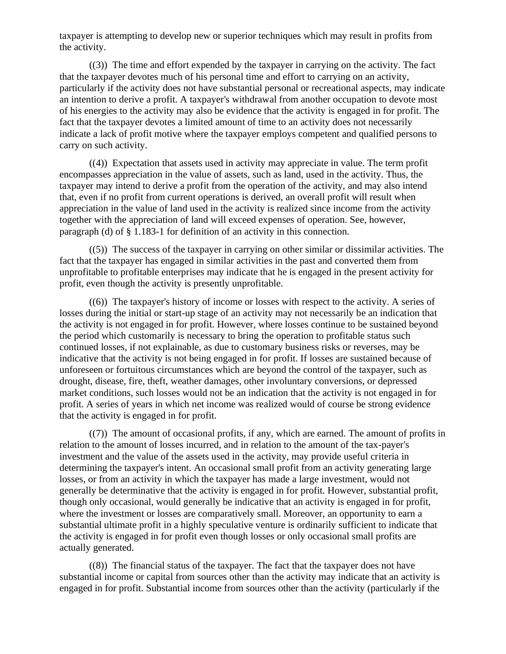taxpayer is attempting to develop new or superior techniques which may result in profits from the activity.

((3)) The time and effort expended by the taxpayer in carrying on the activity. The fact that the taxpayer devotes much of his personal time and effort to carrying on an activity, particularly if the activity does not have substantial personal or recreational aspects, may indicate an intention to derive a profit. A taxpayer's withdrawal from another occupation to devote most of his energies to the activity may also be evidence that the activity is engaged in for profit. The fact that the taxpayer devotes a limited amount of time to an activity does not necessarily indicate a lack of profit motive where the taxpayer employs competent and qualified persons to carry on such activity.

((4)) Expectation that assets used in activity may appreciate in value. The term profit encompasses appreciation in the value of assets, such as land, used in the activity. Thus, the taxpayer may intend to derive a profit from the operation of the activity, and may also intend that, even if no profit from current operations is derived, an overall profit will result when appreciation in the value of land used in the activity is realized since income from the activity together with the appreciation of land will exceed expenses of operation. See, however, paragraph (d) of § 1.183-1 for definition of an activity in this connection.

((5)) The success of the taxpayer in carrying on other similar or dissimilar activities. The fact that the taxpayer has engaged in similar activities in the past and converted them from unprofitable to profitable enterprises may indicate that he is engaged in the present activity for profit, even though the activity is presently unprofitable.

((6)) The taxpayer's history of income or losses with respect to the activity. A series of losses during the initial or start-up stage of an activity may not necessarily be an indication that the activity is not engaged in for profit. However, where losses continue to be sustained beyond the period which customarily is necessary to bring the operation to profitable status such continued losses, if not explainable, as due to customary business risks or reverses, may be indicative that the activity is not being engaged in for profit. If losses are sustained because of unforeseen or fortuitous circumstances which are beyond the control of the taxpayer, such as drought, disease, fire, theft, weather damages, other involuntary conversions, or depressed market conditions, such losses would not be an indication that the activity is not engaged in for profit. A series of years in which net income was realized would of course be strong evidence that the activity is engaged in for profit.

((7)) The amount of occasional profits, if any, which are earned. The amount of profits in relation to the amount of losses incurred, and in relation to the amount of the tax-payer's investment and the value of the assets used in the activity, may provide useful criteria in determining the taxpayer's intent. An occasional small profit from an activity generating large losses, or from an activity in which the taxpayer has made a large investment, would not generally be determinative that the activity is engaged in for profit. However, substantial profit, though only occasional, would generally be indicative that an activity is engaged in for profit, where the investment or losses are comparatively small. Moreover, an opportunity to earn a substantial ultimate profit in a highly speculative venture is ordinarily sufficient to indicate that the activity is engaged in for profit even though losses or only occasional small profits are actually generated.

((8)) The financial status of the taxpayer. The fact that the taxpayer does not have substantial income or capital from sources other than the activity may indicate that an activity is engaged in for profit. Substantial income from sources other than the activity (particularly if the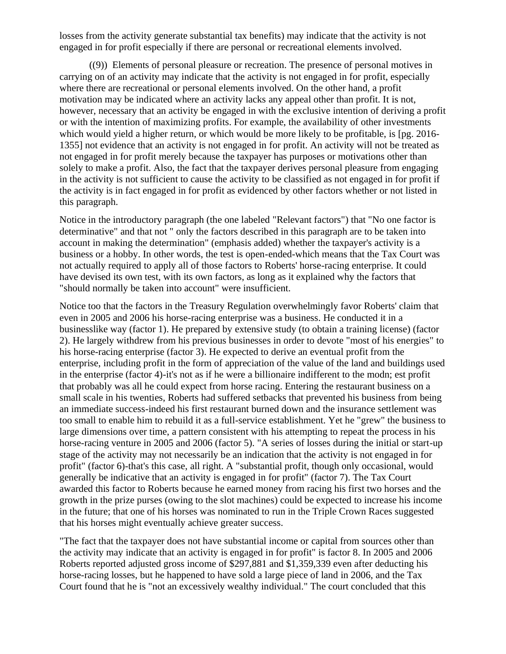losses from the activity generate substantial tax benefits) may indicate that the activity is not engaged in for profit especially if there are personal or recreational elements involved.

((9)) Elements of personal pleasure or recreation. The presence of personal motives in carrying on of an activity may indicate that the activity is not engaged in for profit, especially where there are recreational or personal elements involved. On the other hand, a profit motivation may be indicated where an activity lacks any appeal other than profit. It is not, however, necessary that an activity be engaged in with the exclusive intention of deriving a profit or with the intention of maximizing profits. For example, the availability of other investments which would yield a higher return, or which would be more likely to be profitable, is [pg. 2016- 1355] not evidence that an activity is not engaged in for profit. An activity will not be treated as not engaged in for profit merely because the taxpayer has purposes or motivations other than solely to make a profit. Also, the fact that the taxpayer derives personal pleasure from engaging in the activity is not sufficient to cause the activity to be classified as not engaged in for profit if the activity is in fact engaged in for profit as evidenced by other factors whether or not listed in this paragraph.

Notice in the introductory paragraph (the one labeled "Relevant factors") that "No one factor is determinative" and that not " only the factors described in this paragraph are to be taken into account in making the determination" (emphasis added) whether the taxpayer's activity is a business or a hobby. In other words, the test is open-ended-which means that the Tax Court was not actually required to apply all of those factors to Roberts' horse-racing enterprise. It could have devised its own test, with its own factors, as long as it explained why the factors that "should normally be taken into account" were insufficient.

Notice too that the factors in the Treasury Regulation overwhelmingly favor Roberts' claim that even in 2005 and 2006 his horse-racing enterprise was a business. He conducted it in a businesslike way (factor 1). He prepared by extensive study (to obtain a training license) (factor 2). He largely withdrew from his previous businesses in order to devote "most of his energies" to his horse-racing enterprise (factor 3). He expected to derive an eventual profit from the enterprise, including profit in the form of appreciation of the value of the land and buildings used in the enterprise (factor 4)-it's not as if he were a billionaire indifferent to the modn; est profit that probably was all he could expect from horse racing. Entering the restaurant business on a small scale in his twenties, Roberts had suffered setbacks that prevented his business from being an immediate success-indeed his first restaurant burned down and the insurance settlement was too small to enable him to rebuild it as a full-service establishment. Yet he "grew" the business to large dimensions over time, a pattern consistent with his attempting to repeat the process in his horse-racing venture in 2005 and 2006 (factor 5). "A series of losses during the initial or start-up stage of the activity may not necessarily be an indication that the activity is not engaged in for profit" (factor 6)-that's this case, all right. A "substantial profit, though only occasional, would generally be indicative that an activity is engaged in for profit" (factor 7). The Tax Court awarded this factor to Roberts because he earned money from racing his first two horses and the growth in the prize purses (owing to the slot machines) could be expected to increase his income in the future; that one of his horses was nominated to run in the Triple Crown Races suggested that his horses might eventually achieve greater success.

"The fact that the taxpayer does not have substantial income or capital from sources other than the activity may indicate that an activity is engaged in for profit" is factor 8. In 2005 and 2006 Roberts reported adjusted gross income of \$297,881 and \$1,359,339 even after deducting his horse-racing losses, but he happened to have sold a large piece of land in 2006, and the Tax Court found that he is "not an excessively wealthy individual." The court concluded that this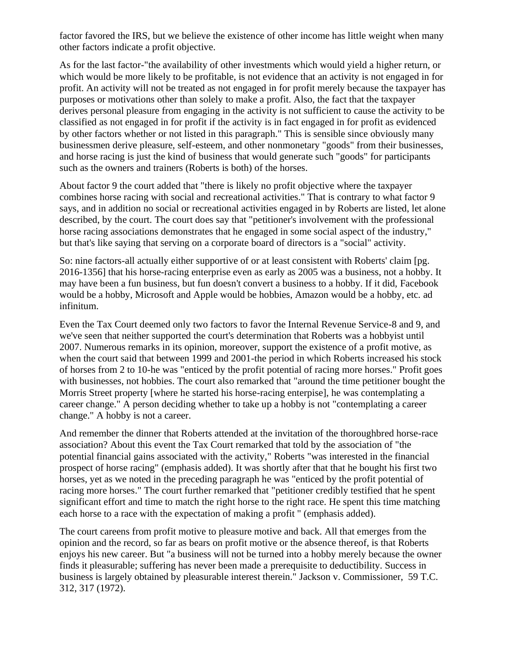factor favored the IRS, but we believe the existence of other income has little weight when many other factors indicate a profit objective.

As for the last factor-"the availability of other investments which would yield a higher return, or which would be more likely to be profitable, is not evidence that an activity is not engaged in for profit. An activity will not be treated as not engaged in for profit merely because the taxpayer has purposes or motivations other than solely to make a profit. Also, the fact that the taxpayer derives personal pleasure from engaging in the activity is not sufficient to cause the activity to be classified as not engaged in for profit if the activity is in fact engaged in for profit as evidenced by other factors whether or not listed in this paragraph." This is sensible since obviously many businessmen derive pleasure, self-esteem, and other nonmonetary "goods" from their businesses, and horse racing is just the kind of business that would generate such "goods" for participants such as the owners and trainers (Roberts is both) of the horses.

About factor 9 the court added that "there is likely no profit objective where the taxpayer combines horse racing with social and recreational activities." That is contrary to what factor 9 says, and in addition no social or recreational activities engaged in by Roberts are listed, let alone described, by the court. The court does say that "petitioner's involvement with the professional horse racing associations demonstrates that he engaged in some social aspect of the industry," but that's like saying that serving on a corporate board of directors is a "social" activity.

So: nine factors-all actually either supportive of or at least consistent with Roberts' claim [pg. 2016-1356] that his horse-racing enterprise even as early as 2005 was a business, not a hobby. It may have been a fun business, but fun doesn't convert a business to a hobby. If it did, Facebook would be a hobby, Microsoft and Apple would be hobbies, Amazon would be a hobby, etc. ad infinitum.

Even the Tax Court deemed only two factors to favor the Internal Revenue Service-8 and 9, and we've seen that neither supported the court's determination that Roberts was a hobbyist until 2007. Numerous remarks in its opinion, moreover, support the existence of a profit motive, as when the court said that between 1999 and 2001-the period in which Roberts increased his stock of horses from 2 to 10-he was "enticed by the profit potential of racing more horses." Profit goes with businesses, not hobbies. The court also remarked that "around the time petitioner bought the Morris Street property [where he started his horse-racing enterpise], he was contemplating a career change." A person deciding whether to take up a hobby is not "contemplating a career change." A hobby is not a career.

And remember the dinner that Roberts attended at the invitation of the thoroughbred horse-race association? About this event the Tax Court remarked that told by the association of "the potential financial gains associated with the activity," Roberts "was interested in the financial prospect of horse racing" (emphasis added). It was shortly after that that he bought his first two horses, yet as we noted in the preceding paragraph he was "enticed by the profit potential of racing more horses." The court further remarked that "petitioner credibly testified that he spent significant effort and time to match the right horse to the right race. He spent this time matching each horse to a race with the expectation of making a profit " (emphasis added).

The court careens from profit motive to pleasure motive and back. All that emerges from the opinion and the record, so far as bears on profit motive or the absence thereof, is that Roberts enjoys his new career. But "a business will not be turned into a hobby merely because the owner finds it pleasurable; suffering has never been made a prerequisite to deductibility. Success in business is largely obtained by pleasurable interest therein." Jackson v. Commissioner, 59 T.C. 312, 317 (1972).